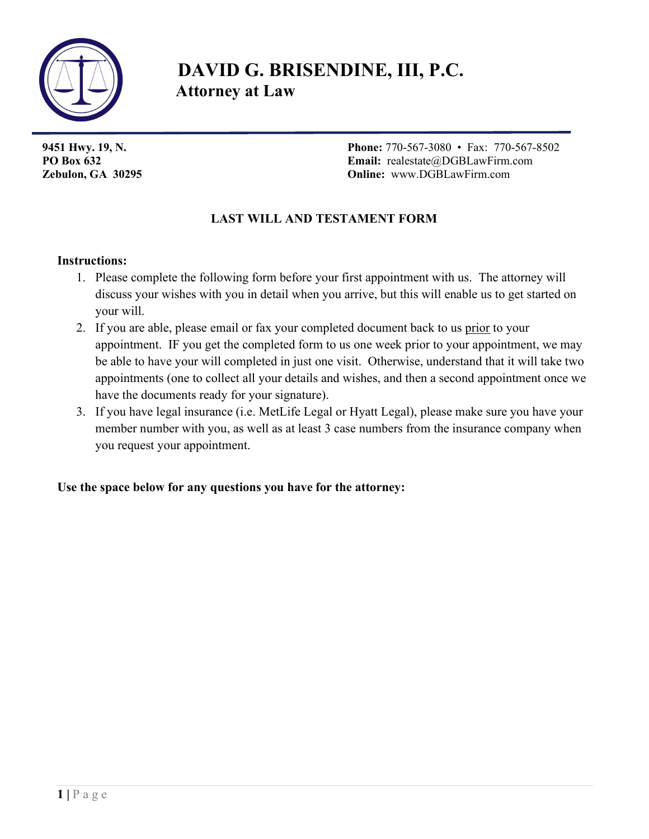

# DAVID G. BRISENDINE, III, P.C. Attorney at Law

9451 Hwy. 19, N. 2008 12: 2009 12: 2009 12: 2009 12: 2009 12: 2009 12: 2009 12: 2009 12: 2009 12: 2009 12: 20 PO Box 632 Email: realestate@DGBLawFirm.com Zebulon, GA 30295 Online: www.DGBLawFirm.com

### LAST WILL AND TESTAMENT FORM

#### Instructions:

- 1. Please complete the following form before your first appointment with us. The attorney will discuss your wishes with you in detail when you arrive, but this will enable us to get started on your will.
- 2. If you are able, please email or fax your completed document back to us prior to your appointment. IF you get the completed form to us one week prior to your appointment, we may be able to have your will completed in just one visit. Otherwise, understand that it will take two appointments (one to collect all your details and wishes, and then a second appointment once we have the documents ready for your signature).
- 3. If you have legal insurance (i.e. MetLife Legal or Hyatt Legal), please make sure you have your member number with you, as well as at least 3 case numbers from the insurance company when you request your appointment.

Use the space below for any questions you have for the attorney: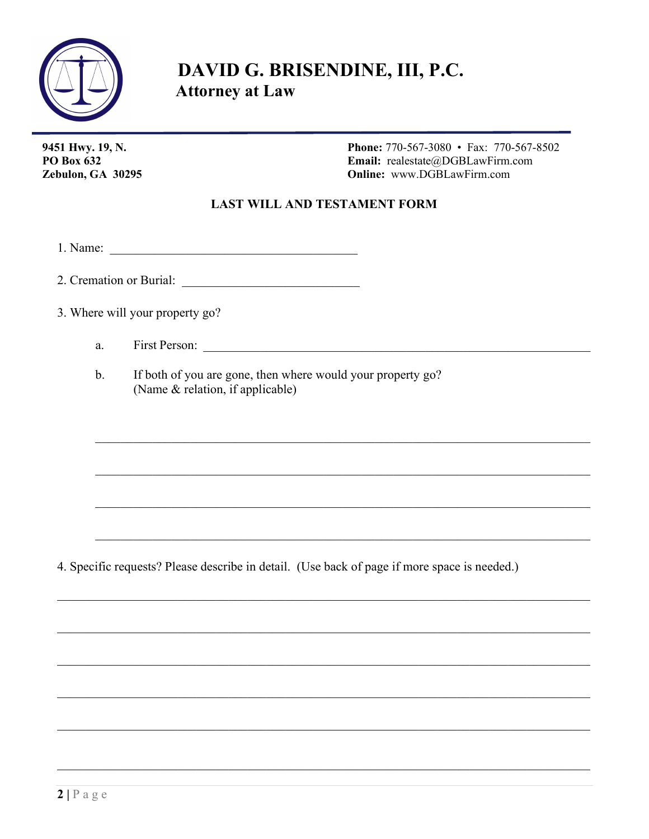

## DAVID G. BRISENDINE, III, P.C. **Attorney at Law**

9451 Hwy. 19, N. **PO Box 632** Zebulon, GA 30295 **Phone:** 770-567-3080 • Fax: 770-567-8502 Email: realestate@DGBLawFirm.com **Online:** www.DGBLawFirm.com

### **LAST WILL AND TESTAMENT FORM**

2. Cremation or Burial:

3. Where will your property go?

a.

 $\mathbf{b}$ . If both of you are gone, then where would your property go? (Name & relation, if applicable)

4. Specific requests? Please describe in detail. (Use back of page if more space is needed.)